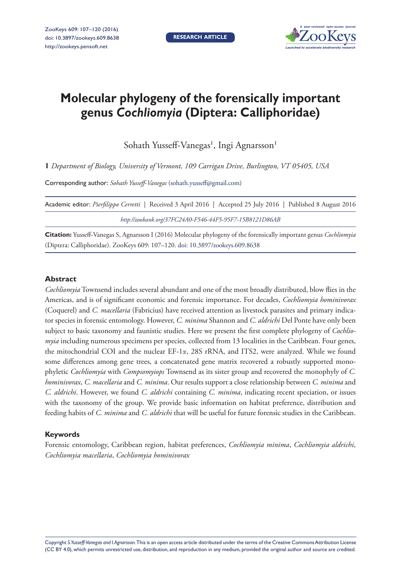**RESEARCH ARTICLE**



# **Molecular phylogeny of the forensically important genus** *Cochliomyia* **(Diptera: Calliphoridae)**

Sohath Yusseff-Vanegas', Ingi Agnarsson'

**1** *Department of Biology, University of Vermont, 109 Carrigan Drive, Burlington, VT 05405, USA*

Corresponding author: *Sohath Yusseff-Vanegas* [\(sohath.yusseff@gmail.com\)](mailto:sohath.yusseff@gmail.com)

| Academic editor: <i>Pierfilippo Cerretti</i>   Received 3 April 2016   Accepted 25 July 2016   Published 8 August 2016 |                                                         |  |  |  |
|------------------------------------------------------------------------------------------------------------------------|---------------------------------------------------------|--|--|--|
|                                                                                                                        | http://zoobank.org/37FC24A0-F546-44F5-95F7-15B8121D86AB |  |  |  |

**Citation:** Yusseff-Vanegas S, Agnarsson I (2016) Molecular phylogeny of the forensically important genus *Cochliomyia* (Diptera: Calliphoridae). ZooKeys 609: 107–120. [doi: 10.3897/zookeys.609.8638](http://dx.doi.org/10.3897/zookeys.609.8638)

#### **Abstract**

*Cochliomyia* Townsend includes several abundant and one of the most broadly distributed, blow flies in the Americas, and is of significant economic and forensic importance. For decades, *Cochliomyia hominivorax* (Coquerel) and *C. macellaria* (Fabricius) have received attention as livestock parasites and primary indicator species in forensic entomology. However, *C. minima* Shannon and *C. aldrichi* Del Ponte have only been subject to basic taxonomy and faunistic studies. Here we present the first complete phylogeny of *Cochliomyia* including numerous specimens per species, collected from 13 localities in the Caribbean. Four genes, the mitochondrial COI and the nuclear EF-1α, 28S rRNA, and ITS2, were analyzed. While we found some differences among gene trees, a concatenated gene matrix recovered a robustly supported monophyletic *Cochliomyia* with *Compsomyiops* Townsend as its sister group and recovered the monophyly of *C. hominivorax*, *C. macellaria* and *C. minima*. Our results support a close relationship between *C. minima* and *C. aldrichi*. However, we found *C. aldrichi* containing *C. minima*, indicating recent speciation, or issues with the taxonomy of the group. We provide basic information on habitat preference, distribution and feeding habits of *C. minima* and *C. aldrichi* that will be useful for future forensic studies in the Caribbean.

#### **Keywords**

Forensic entomology, Caribbean region, habitat preferences, *Cochliomyia minima*, *Cochliomyia aldrichi*, *Cochliomyia macellaria*, *Cochliomyia hominivorax*

Copyright *S. Yusseff-Vanegas and I. Agnarsson.* This is an open access article distributed under the terms of the [Creative Commons Attribution License](http://creativecommons.org/licenses/by/4.0/)  [\(CC BY 4.0\)](http://creativecommons.org/licenses/by/4.0/), which permits unrestricted use, distribution, and reproduction in any medium, provided the original author and source are credited.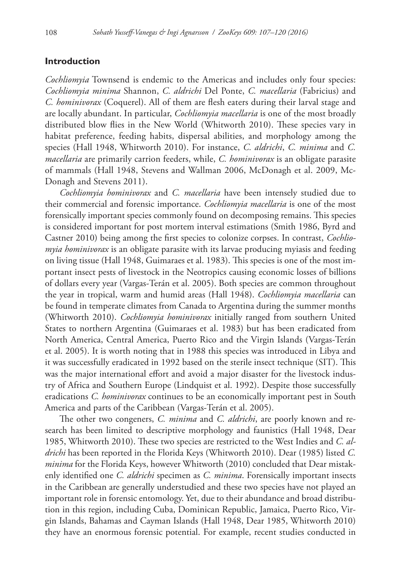## **Introduction**

*Cochliomyia* Townsend is endemic to the Americas and includes only four species: *Cochliomyia minima* Shannon, *C. aldrichi* Del Ponte, *C. macellaria* (Fabricius) and *C. hominivorax* (Coquerel). All of them are flesh eaters during their larval stage and are locally abundant. In particular, *Cochliomyia macellaria* is one of the most broadly distributed blow flies in the New World (Whitworth 2010). These species vary in habitat preference, feeding habits, dispersal abilities, and morphology among the species (Hall 1948, Whitworth 2010). For instance, *C. aldrichi*, *C. minima* and *C. macellaria* are primarily carrion feeders, while, *C. hominivorax* is an obligate parasite of mammals (Hall 1948, Stevens and Wallman 2006, McDonagh et al. 2009, Mc-Donagh and Stevens 2011).

*Cochliomyia hominivorax* and *C. macellaria* have been intensely studied due to their commercial and forensic importance. *Cochliomyia macellaria* is one of the most forensically important species commonly found on decomposing remains. This species is considered important for post mortem interval estimations (Smith 1986, Byrd and Castner 2010) being among the first species to colonize corpses. In contrast, *Cochliomyia hominivorax* is an obligate parasite with its larvae producing myiasis and feeding on living tissue (Hall 1948, Guimaraes et al. 1983). This species is one of the most important insect pests of livestock in the Neotropics causing economic losses of billions of dollars every year (Vargas-Terán et al. 2005). Both species are common throughout the year in tropical, warm and humid areas (Hall 1948). *Cochliomyia macellaria* can be found in temperate climates from Canada to Argentina during the summer months (Whitworth 2010). *Cochliomyia hominivorax* initially ranged from southern United States to northern Argentina (Guimaraes et al. 1983) but has been eradicated from North America, Central America, Puerto Rico and the Virgin Islands (Vargas-Terán et al. 2005). It is worth noting that in 1988 this species was introduced in Libya and it was successfully eradicated in 1992 based on the sterile insect technique (SIT). This was the major international effort and avoid a major disaster for the livestock industry of Africa and Southern Europe (Lindquist et al. 1992). Despite those successfully eradications *C. hominivorax* continues to be an economically important pest in South America and parts of the Caribbean (Vargas-Terán et al. 2005).

The other two congeners, *C. minima* and *C. aldrichi*, are poorly known and research has been limited to descriptive morphology and faunistics (Hall 1948, Dear 1985, Whitworth 2010). These two species are restricted to the West Indies and *C. aldrichi* has been reported in the Florida Keys (Whitworth 2010). Dear (1985) listed *C. minima* for the Florida Keys, however Whitworth (2010) concluded that Dear mistakenly identified one *C. aldrichi* specimen as *C. minima*. Forensically important insects in the Caribbean are generally understudied and these two species have not played an important role in forensic entomology. Yet, due to their abundance and broad distribution in this region, including Cuba, Dominican Republic, Jamaica, Puerto Rico, Virgin Islands, Bahamas and Cayman Islands (Hall 1948, Dear 1985, Whitworth 2010) they have an enormous forensic potential. For example, recent studies conducted in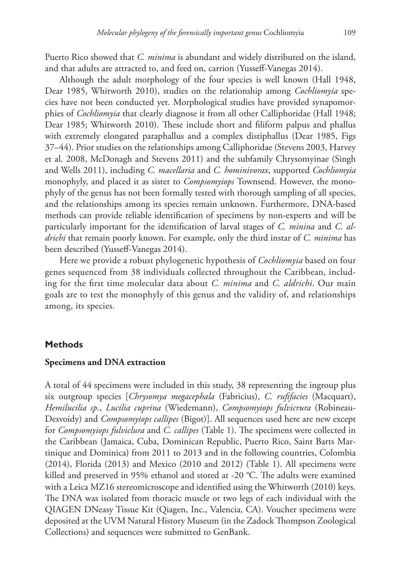Puerto Rico showed that *C. minima* is abundant and widely distributed on the island, and that adults are attracted to, and feed on, carrion (Yusseff-Vanegas 2014).

Although the adult morphology of the four species is well known (Hall 1948, Dear 1985, Whitworth 2010), studies on the relationship among *Cochliomyia* species have not been conducted yet. Morphological studies have provided synapomorphies of *Cochliomyia* that clearly diagnose it from all other Calliphoridae (Hall 1948; Dear 1985; Whitworth 2010). These include short and filiform palpus and phallus with extremely elongated paraphallus and a complex distiphallus (Dear 1985, Figs 37–44). Prior studies on the relationships among Calliphoridae (Stevens 2003, Harvey et al. 2008, McDonagh and Stevens 2011) and the subfamily Chrysomyinae (Singh and Wells 2011), including *C. macellaria* and *C. hominivorax*, supported *Cochliomyia* monophyly, and placed it as sister to *Compsomyiops* Townsend. However, the monophyly of the genus has not been formally tested with thorough sampling of all species, and the relationships among its species remain unknown. Furthermore, DNA-based methods can provide reliable identification of specimens by non-experts and will be particularly important for the identification of larval stages of *C. minina* and *C. aldrichi* that remain poorly known. For example, only the third instar of *C. minima* has been described (Yusseff-Vanegas 2014).

Here we provide a robust phylogenetic hypothesis of *Cochliomyia* based on four genes sequenced from 38 individuals collected throughout the Caribbean, including for the first time molecular data about *C. minima* and *C. aldrichi*. Our main goals are to test the monophyly of this genus and the validity of, and relationships among, its species.

# **Methods**

## **Specimens and DNA extraction**

A total of 44 specimens were included in this study, 38 representing the ingroup plus six outgroup species [*Chrysomya megacephala* (Fabricius), *C. rufifacies* (Macquart), *Hemilucilia sp.*, *Lucilia cuprina* (Wiedemann), *Compsomyiops fulvicrura* (Robineau-Desvoidy) and *Compsomyiops callipes* (Bigot)]. All sequences used here are new except for *Compsomyiops fulviclura* and *C. callipes* (Table 1). The specimens were collected in the Caribbean (Jamaica, Cuba, Dominican Republic, Puerto Rico, Saint Barts Martinique and Dominica) from 2011 to 2013 and in the following countries, Colombia (2014), Florida (2013) and Mexico (2010 and 2012) (Table 1). All specimens were killed and preserved in 95% ethanol and stored at -20 °C. The adults were examined with a Leica MZ16 stereomicroscope and identified using the Whitworth (2010) keys. The DNA was isolated from thoracic muscle or two legs of each individual with the QIAGEN DNeasy Tissue Kit (Qiagen, Inc., Valencia, CA). Voucher specimens were deposited at the UVM Natural History Museum (in the Zadock Thompson Zoological Collections) and sequences were submitted to GenBank.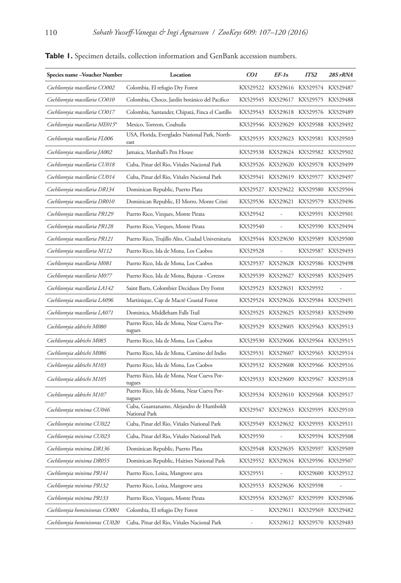| Species name-Voucher Number   | Location                                                 | CO1      | $EF-1\alpha$               | ITS2                                | 28S rRNA          |
|-------------------------------|----------------------------------------------------------|----------|----------------------------|-------------------------------------|-------------------|
| Cochliomyia macellaria CO002  | Colombia, El refugio Dry Forest                          |          | KX529522 KX529616 KX529574 |                                     | KX529487          |
| Cochliomyia macellaria CO010  | Colombia, Choco, Jardín botánico del Pacífico            | KX529545 | KX529617                   | KX529575                            | KX529488          |
| Cochliomyia macellaria CO017  | Colombia, Santander, Chipatá, Finca el Castillo          | KX529543 | KX529618 KX529576          |                                     | KX529489          |
| Cochliomyia macellaria ME015* | Mexico, Torreon, Coahuila                                |          | KX529546 KX529629 KX529588 |                                     | KX529492          |
| Cochliomyia macellaria FL006  | USA, Florida, Everglades National Park, North-<br>east   | KX529535 | KX529623                   | KX529581                            | KX529503          |
| Cochliomyia macellaria JA002  | Jamaica, Marshall's Pen House                            | KX529538 | KX529624 KX529582          |                                     | KX529502          |
| Cochliomyia macellaria CU018  | Cuba, Pinar del Rio, Viñales Nacional Park               |          | KX529526 KX529620          | KX529578                            | KX529499          |
| Cochliomyia macellaria CU014  | Cuba, Pinar del Rio, Viñales Nacional Park               | KX529541 | KX529619                   | KX529577                            | KX529497          |
| Cochliomyia macellaria DR134  | Dominican Republic, Puerto Plata                         | KX529527 | KX529622 KX529580          |                                     | KX529504          |
| Cochliomyia macellaria DR010  | Dominican Republic, El Morro, Monte Cristi               |          |                            | KX529536 KX529621 KX529579          | KX529496          |
| Cochliomyia macellaria PR129  | Puerto Rico, Vieques, Monte Pirata                       | KX529542 | $\frac{1}{2}$              | KX529591                            | KX529501          |
| Cochliomyia macellaria PR128  | Puerto Rico, Vieques, Monte Pirata                       | KX529540 |                            | KX529590                            | KX529494          |
| Cochliomyia macellaria PR121  | Puerto Rico, Trujillo Alto, Ciudad Universitaria         |          | KX529544 KX529630 KX529589 |                                     | KX529500          |
| Cochliomyia macellaria M112   | Puerto Rico, Isla de Mona, Los Caobos                    | KX529528 | J.                         | KX529587                            | KX529493          |
| Cochliomyia macellaria M081   | Puerto Rico, Isla de Mona, Los Caobos                    | KX529537 | KX529628                   | KX529586                            | KX529498          |
| Cochliomyia macellaria M077   | Puerto Rico, Isla de Mona, Bajuras - Cerezos             | KX529539 | KX529627                   | KX529585                            | KX529495          |
| Cochliomyia macellaria LA142  | Saint Barts, Colombier Deciduos Dry Forest               |          | KX529523 KX529631          | KX529592                            |                   |
| Cochliomyia macellaria LA096  | Martinique, Cap de Macré Coastal Forest                  | KX529524 | KX529626                   | KX529584                            | KX529491          |
| Cochliomyia macellaria LA071  | Dominica, Middleham Falls Trail                          | KX529525 | KX529625                   | KX529583                            | KX529490          |
| Cochliomyia aldrichi M080     | Puerto Rico, Isla de Mona, Near Cueva Por-<br>tugues     | KX529529 |                            | KX529605 KX529563                   | KX529513          |
| Cochliomyia aldrichi M085     | Puerto Rico, Isla de Mona, Los Caobos                    |          |                            | KX529530 KX529606 KX529564 KX529515 |                   |
| Cochliomyia aldrichi M086     | Puerto Rico, Isla de Mona, Camino del Indio              | KX529531 | KX529607                   | KX529565                            | KX529514          |
| Cochliomyia aldrichi M103     | Puerto Rico, Isla de Mona, Los Caobos                    |          | KX529532 KX529608          | KX529566                            | KX529516          |
| Cochliomyia aldrichi M105     | Puerto Rico, Isla de Mona, Near Cueva Por-<br>tugues     |          | KX529533 KX529609          | KX529567 KX529518                   |                   |
| Cochliomyia aldrichi M107     | Puerto Rico, Isla de Mona, Near Cueva Por-<br>tugues     |          | KX529534 KX529610 KX529568 |                                     | KX529517          |
| Cochliomyia minima CU046      | Cuba, Guantanamo, Alejandro de Humboldt<br>National Park |          |                            | KX529547 KX529633 KX529595 KX529510 |                   |
| Cochliomyia minima CU022      | Cuba, Pinar del Rio, Viñales National Park               | KX529549 |                            | KX529632 KX529593                   | KX529511          |
| Cochliomyia minima CU023      | Cuba, Pinar del Rio, Viñales National Park               | KX529550 | L,                         |                                     | KX529594 KX529508 |
| Cochliomyia minima DR136      | Dominican Republic, Puerto Plata                         |          | KX529548 KX529635          | KX529597                            | KX529509          |
| Cochliomyia minima DR055      | Dominican Republic, Haitises National Park               |          | KX529552 KX529634 KX529596 |                                     | KX529507          |
| Cochliomyia minima PR141      | Puerto Rico, Loiza, Mangrove area                        | KX529551 |                            | KX529600                            | KX529512          |
| Cochliomyia minima PR132      | Puerto Rico, Loiza, Mangrove area                        | KX529553 | KX529636                   | KX529598                            |                   |
| Cochliomyia minima PR133      | Puerto Rico, Vieques, Monte Pirata                       | KX529554 | KX529637                   | KX529599                            | KX529506          |
| Cochliomyia hominivorax CO001 | Colombia, El refugio Dry Forest                          |          | KX529611                   | KX529569                            | KX529482          |
| Cochliomyia hominivorax CU020 | Cuba, Pinar del Rio, Viñales Nacional Park               |          | KX529612                   | KX529570                            | KX529483          |

**Table 1.** Specimen details, collection information and GenBank accession numbers.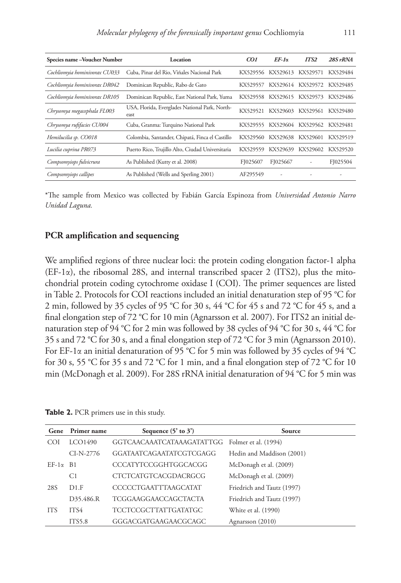| Species name-Voucher Number   | Location                                               | CO1      | $EF-1\alpha$      | ITS <sub>2</sub>           | 28S rRNA |
|-------------------------------|--------------------------------------------------------|----------|-------------------|----------------------------|----------|
| Cochliomyia hominivorax CU033 | Cuba, Pinar del Rio, Viñales Nacional Park             |          | KX529556 KX529613 | KX529571                   | KX529484 |
| Cochliomyia hominivorax DR042 | Dominican Republic, Rabo de Gato                       | KX529557 |                   | KX529614 KX529572          | KX529485 |
| Cochliomyia hominivorax DR105 | Dominican Republic, East National Park, Yuma           | KX529558 |                   | KX529615 KX529573 KX529486 |          |
| Chrysomya megacephala FL003   | USA, Florida, Everglades National Park, North-<br>east | KX529521 | KX529603 KX529561 |                            | KX529480 |
| Chrysomya rufifacies CU004    | Cuba, Granma: Turquino National Park                   | KX529555 |                   | KX529604 KX529562 KX529481 |          |
| Hemilucilia sp. CO018         | Colombia, Santander, Chipatá, Finca el Castillo        | KX529560 | KX529638          | KX529601                   | KX529519 |
| Lucilia cuprina PR073         | Puerto Rico, Trujillo Alto, Ciudad Universitaria       | KX529559 | KX529639          | KX529602                   | KX529520 |
| Compsomyiops fulvicrura       | As Published (Kutty et al. 2008)                       | FJ025607 | FJ025667          | ٠                          | FJ025504 |
| Compsomyiops callipes         | As Published (Wells and Sperling 2001)                 | AF295549 | ٠                 |                            |          |

\*The sample from Mexico was collected by Fabián García Espinoza from *Universidad Antonio Narro Unidad Laguna.*

# **PCR amplification and sequencing**

We amplified regions of three nuclear loci: the protein coding elongation factor-1 alpha (EF-1α), the ribosomal 28S, and internal transcribed spacer 2 (ITS2), plus the mitochondrial protein coding cytochrome oxidase I (COI). The primer sequences are listed in Table 2. Protocols for COI reactions included an initial denaturation step of 95 °C for 2 min, followed by 35 cycles of 95 °C for 30 s, 44 °C for 45 s and 72 °C for 45 s, and a final elongation step of 72 °C for 10 min (Agnarsson et al. 2007). For ITS2 an initial denaturation step of 94 °C for 2 min was followed by 38 cycles of 94 °C for 30 s, 44 °C for 35 s and 72 °C for 30 s, and a final elongation step of 72 °C for 3 min (Agnarsson 2010). For EF-1 $\alpha$  an initial denaturation of 95 °C for 5 min was followed by 35 cycles of 94 °C for 30 s, 55 °C for 35 s and 72 °C for 1 min, and a final elongation step of 72 °C for 10 min (McDonagh et al. 2009). For 28S rRNA initial denaturation of 94 °C for 5 min was

| Gene            | Primer name    | Sequence $(5'$ to $3')$                        | Source                     |
|-----------------|----------------|------------------------------------------------|----------------------------|
| COL             | LCO1490        | GGTCAACAAATCATAAAGATATTGG Folmer et al. (1994) |                            |
|                 | CI-N-2776      | GGATAATCAGAATATCGTCGAGG                        | Hedin and Maddison (2001)  |
| $EF-1\alpha$ B1 |                | <b>CCCATYTCCGGHTGGCACGG</b>                    | McDonagh et al. (2009)     |
|                 | C <sub>1</sub> | CTCTCATGTCACGDACRGCG                           | McDonagh et al. (2009)     |
| 28S             | DI.F           | CCCCCTGAATTTAAGCATAT                           | Friedrich and Tautz (1997) |
|                 | D35.486.R      | <b>TCGGAAGGAACCAGCTACTA</b>                    | Friedrich and Tautz (1997) |
| <b>TTS</b>      | ITS4           | <b>TCCTCCGCTTATTGATATGC</b>                    | White et al. (1990)        |
|                 | ITS5.8         | GGGACGATGAAGAACGCAGC                           | Agnarsson (2010)           |

**Table 2.** PCR primers use in this study.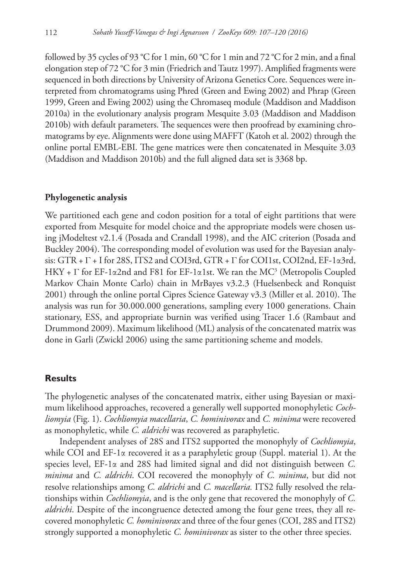followed by 35 cycles of 93 °C for 1 min, 60 °C for 1 min and 72 °C for 2 min, and a final elongation step of 72 °C for 3 min (Friedrich and Tautz 1997). Amplified fragments were sequenced in both directions by University of Arizona Genetics Core. Sequences were interpreted from chromatograms using Phred (Green and Ewing 2002) and Phrap (Green 1999, Green and Ewing 2002) using the Chromaseq module (Maddison and Maddison 2010a) in the evolutionary analysis program Mesquite 3.03 (Maddison and Maddison 2010b) with default parameters. The sequences were then proofread by examining chromatograms by eye. Alignments were done using MAFFT (Katoh et al. 2002) through the online portal EMBL-EBI. The gene matrices were then concatenated in Mesquite 3.03 (Maddison and Maddison 2010b) and the full aligned data set is 3368 bp.

#### **Phylogenetic analysis**

We partitioned each gene and codon position for a total of eight partitions that were exported from Mesquite for model choice and the appropriate models were chosen using jModeltest v2.1.4 (Posada and Crandall 1998), and the AIC criterion (Posada and Buckley 2004). The corresponding model of evolution was used for the Bayesian analysis:  $GTR + \Gamma + \Gamma$  for 28S, ITS2 and COI3rd,  $GTR + \Gamma$  for COI1st, COI2nd, EF-1 $\alpha$ 3rd, HKY +  $\Gamma$  for EF-1α2nd and F81 for EF-1α1st. We ran the MC<sup>3</sup> (Metropolis Coupled Markov Chain Monte Carlo) chain in MrBayes v3.2.3 (Huelsenbeck and Ronquist 2001) through the online portal Cipres Science Gateway v3.3 (Miller et al. 2010). The analysis was run for 30.000.000 generations, sampling every 1000 generations. Chain stationary, ESS, and appropriate burnin was verified using Tracer 1.6 (Rambaut and Drummond 2009). Maximum likelihood (ML) analysis of the concatenated matrix was done in Garli (Zwickl 2006) using the same partitioning scheme and models.

#### **Results**

The phylogenetic analyses of the concatenated matrix, either using Bayesian or maximum likelihood approaches, recovered a generally well supported monophyletic *Cochliomyia* (Fig. 1). *Cochliomyia macellaria*, *C. hominivorax* and *C. minima* were recovered as monophyletic, while *C. aldrichi* was recovered as paraphyletic.

Independent analyses of 28S and ITS2 supported the monophyly of *Cochliomyia*, while COI and  $EF-1\alpha$  recovered it as a paraphyletic group (Suppl. material 1). At the species level, EF-1α and 28S had limited signal and did not distinguish between *C. minima* and *C. aldrichi*. COI recovered the monophyly of *C. minima*, but did not resolve relationships among *C. aldrichi* and *C. macellaria.* ITS2 fully resolved the relationships within *Cochliomyia*, and is the only gene that recovered the monophyly of *C. aldrichi*. Despite of the incongruence detected among the four gene trees, they all recovered monophyletic *C. hominivorax* and three of the four genes (COI, 28S and ITS2) strongly supported a monophyletic *C. hominivorax* as sister to the other three species.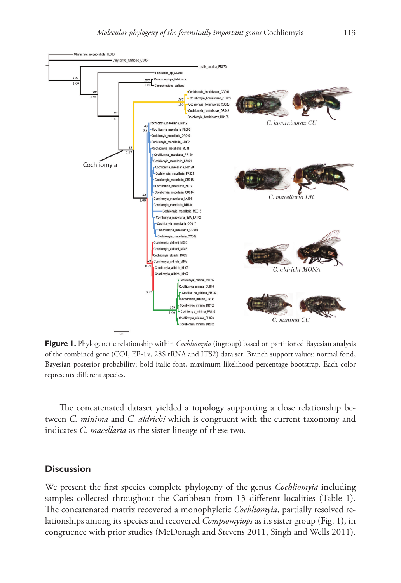

**Figure 1.** Phylogenetic relationship within *Cochliomyia* (ingroup) based on partitioned Bayesian analysis of the combined gene (COI, EF-1α, 28S rRNA and ITS2) data set. Branch support values: normal fond, Bayesian posterior probability; bold-italic font, maximum likelihood percentage bootstrap. Each color represents different species.

The concatenated dataset yielded a topology supporting a close relationship between *C. minima* and *C. aldrichi* which is congruent with the current taxonomy and indicates *C. macellaria* as the sister lineage of these two.

# **Discussion**

We present the first species complete phylogeny of the genus *Cochliomyia* including samples collected throughout the Caribbean from 13 different localities (Table 1). The concatenated matrix recovered a monophyletic *Cochliomyia*, partially resolved relationships among its species and recovered *Compsomyiops* as its sister group (Fig. 1), in congruence with prior studies (McDonagh and Stevens 2011, Singh and Wells 2011).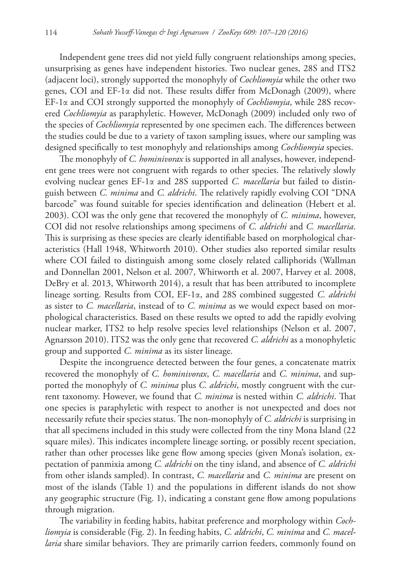Independent gene trees did not yield fully congruent relationships among species, unsurprising as genes have independent histories. Two nuclear genes, 28S and ITS2 (adjacent loci), strongly supported the monophyly of *Cochliomyia* while the other two genes, COI and EF-1α did not. These results differ from McDonagh (2009), where EF-1α and COI strongly supported the monophyly of *Cochliomyia*, while 28S recovered *Cochliomyia* as paraphyletic. However, McDonagh (2009) included only two of the species of *Cochliomyia* represented by one specimen each. The differences between the studies could be due to a variety of taxon sampling issues, where our sampling was designed specifically to test monophyly and relationships among *Cochliomyia* species.

The monophyly of *C. hominivorax* is supported in all analyses, however, independent gene trees were not congruent with regards to other species. The relatively slowly evolving nuclear genes EF-1α and 28S supported *C. macellaria* but failed to distinguish between *C. minima* and *C. aldrichi*. The relatively rapidly evolving COI "DNA barcode" was found suitable for species identification and delineation (Hebert et al. 2003). COI was the only gene that recovered the monophyly of *C. minima*, however, COI did not resolve relationships among specimens of *C. aldrichi* and *C. macellaria*. This is surprising as these species are clearly identifiable based on morphological characteristics (Hall 1948, Whitworth 2010). Other studies also reported similar results where COI failed to distinguish among some closely related calliphorids (Wallman and Donnellan 2001, Nelson et al. 2007, Whitworth et al. 2007, Harvey et al. 2008, DeBry et al. 2013, Whitworth 2014), a result that has been attributed to incomplete lineage sorting. Results from COI, EF-1α, and 28S combined suggested *C. aldrichi* as sister to *C. macellaria*, instead of to *C. minima* as we would expect based on morphological characteristics. Based on these results we opted to add the rapidly evolving nuclear marker, ITS2 to help resolve species level relationships (Nelson et al. 2007, Agnarsson 2010). ITS2 was the only gene that recovered *C. aldrichi* as a monophyletic group and supported *C. minima* as its sister lineage.

Despite the incongruence detected between the four genes, a concatenate matrix recovered the monophyly of *C. hominivorax*, *C. macellaria* and *C. minima*, and supported the monophyly of *C. minima* plus *C. aldrichi*, mostly congruent with the current taxonomy. However, we found that *C. minima* is nested within *C. aldrichi*. That one species is paraphyletic with respect to another is not unexpected and does not necessarily refute their species status. The non-monophyly of *C. aldrichi* is surprising in that all specimens included in this study were collected from the tiny Mona Island (22 square miles). This indicates incomplete lineage sorting, or possibly recent speciation, rather than other processes like gene flow among species (given Mona's isolation, expectation of panmixia among *C. aldrichi* on the tiny island, and absence of *C. aldrichi* from other islands sampled). In contrast, *C. macellaria* and *C. minima* are present on most of the islands (Table 1) and the populations in different islands do not show any geographic structure (Fig. 1), indicating a constant gene flow among populations through migration.

The variability in feeding habits, habitat preference and morphology within *Cochliomyia* is considerable (Fig. 2). In feeding habits, *C. aldrichi*, *C. minima* and *C. macellaria* share similar behaviors. They are primarily carrion feeders, commonly found on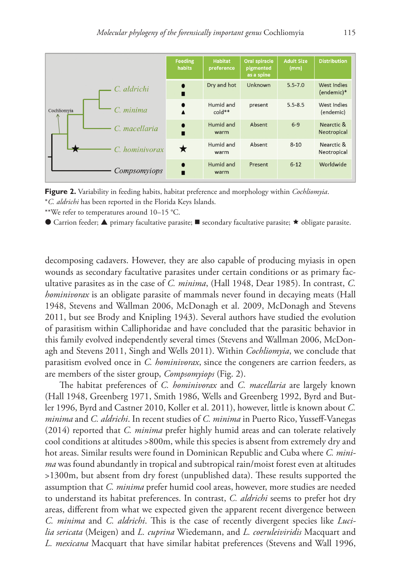

**Figure 2.** Variability in feeding habits, habitat preference and morphology within *Cochliomyia*.

\**C. aldrichi* has been reported in the Florida Keys Islands.

\*\*We refer to temperatures around 10–15 °C.

 $\bullet$  Carrion feeder;  $\blacktriangle$  primary facultative parasite;  $\blacktriangle$  secondary facultative parasite;  $\star$  obligate parasite.

decomposing cadavers. However, they are also capable of producing myiasis in open wounds as secondary facultative parasites under certain conditions or as primary facultative parasites as in the case of *C. minima*, (Hall 1948, Dear 1985). In contrast, *C. hominivorax* is an obligate parasite of mammals never found in decaying meats (Hall 1948, Stevens and Wallman 2006, McDonagh et al. 2009, McDonagh and Stevens 2011, but see Brody and Knipling 1943). Several authors have studied the evolution of parasitism within Calliphoridae and have concluded that the parasitic behavior in this family evolved independently several times (Stevens and Wallman 2006, McDonagh and Stevens 2011, Singh and Wells 2011). Within *Cochliomyia*, we conclude that parasitism evolved once in *C. hominivorax*, since the congeners are carrion feeders, as are members of the sister group, *Compsomyiops* (Fig. 2).

The habitat preferences of *C. hominivorax* and *C. macellaria* are largely known (Hall 1948, Greenberg 1971, Smith 1986, Wells and Greenberg 1992, Byrd and Butler 1996, Byrd and Castner 2010, Koller et al. 2011), however, little is known about *C. minima* and *C. aldrichi*. In recent studies of *C. minima* in Puerto Rico, Yusseff-Vanegas (2014) reported that *C. minima* prefer highly humid areas and can tolerate relatively cool conditions at altitudes >800m, while this species is absent from extremely dry and hot areas. Similar results were found in Dominican Republic and Cuba where *C. minima* was found abundantly in tropical and subtropical rain/moist forest even at altitudes >1300m, but absent from dry forest (unpublished data). These results supported the assumption that *C. minima* prefer humid cool areas, however, more studies are needed to understand its habitat preferences. In contrast, *C. aldrichi* seems to prefer hot dry areas, different from what we expected given the apparent recent divergence between *C. minima* and *C. aldrichi*. This is the case of recently divergent species like *Lucilia sericata* (Meigen) and *L. cuprina* Wiedemann, and *L. coeruleiviridis* Macquart and *L. mexicana* Macquart that have similar habitat preferences (Stevens and Wall 1996,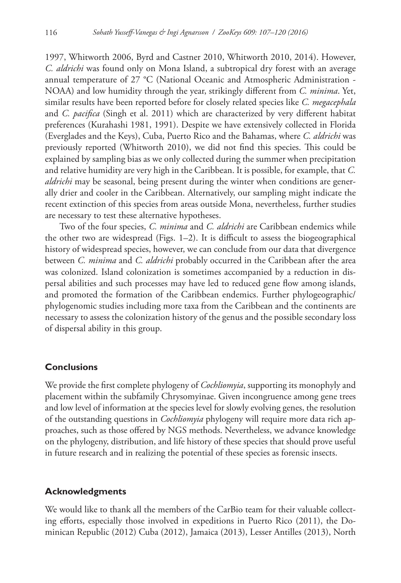1997, Whitworth 2006, Byrd and Castner 2010, Whitworth 2010, 2014). However, *C. aldrichi* was found only on Mona Island, a subtropical dry forest with an average annual temperature of 27 °C (National Oceanic and Atmospheric Administration - NOAA) and low humidity through the year, strikingly different from *C. minima*. Yet, similar results have been reported before for closely related species like *C. megacephala* and *C. pacifica* (Singh et al. 2011) which are characterized by very different habitat preferences (Kurahashi 1981, 1991). Despite we have extensively collected in Florida (Everglades and the Keys), Cuba, Puerto Rico and the Bahamas, where *C. aldrichi* was previously reported (Whitworth 2010), we did not find this species. This could be explained by sampling bias as we only collected during the summer when precipitation and relative humidity are very high in the Caribbean. It is possible, for example, that *C. aldrichi* may be seasonal, being present during the winter when conditions are generally drier and cooler in the Caribbean. Alternatively, our sampling might indicate the recent extinction of this species from areas outside Mona, nevertheless, further studies are necessary to test these alternative hypotheses.

Two of the four species, *C. minima* and *C. aldrichi* are Caribbean endemics while the other two are widespread (Figs. 1–2). It is difficult to assess the biogeographical history of widespread species, however, we can conclude from our data that divergence between *C. minima* and *C. aldrichi* probably occurred in the Caribbean after the area was colonized. Island colonization is sometimes accompanied by a reduction in dispersal abilities and such processes may have led to reduced gene flow among islands, and promoted the formation of the Caribbean endemics. Further phylogeographic/ phylogenomic studies including more taxa from the Caribbean and the continents are necessary to assess the colonization history of the genus and the possible secondary loss of dispersal ability in this group.

# **Conclusions**

We provide the first complete phylogeny of *Cochliomyia*, supporting its monophyly and placement within the subfamily Chrysomyinae. Given incongruence among gene trees and low level of information at the species level for slowly evolving genes, the resolution of the outstanding questions in *Cochliomyia* phylogeny will require more data rich approaches, such as those offered by NGS methods. Nevertheless, we advance knowledge on the phylogeny, distribution, and life history of these species that should prove useful in future research and in realizing the potential of these species as forensic insects.

#### **Acknowledgments**

We would like to thank all the members of the CarBio team for their valuable collecting efforts, especially those involved in expeditions in Puerto Rico (2011), the Dominican Republic (2012) Cuba (2012), Jamaica (2013), Lesser Antilles (2013), North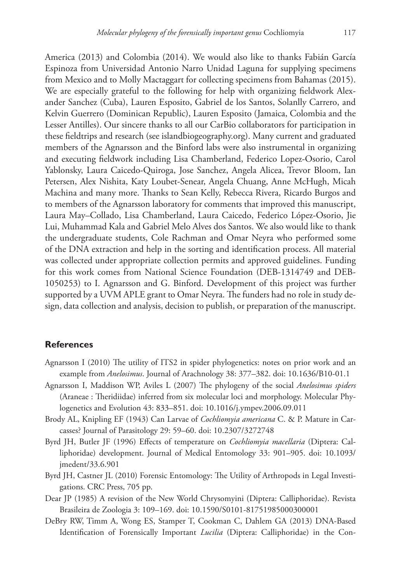America (2013) and Colombia (2014). We would also like to thanks Fabián García Espinoza from Universidad Antonio Narro Unidad Laguna for supplying specimens from Mexico and to Molly Mactaggart for collecting specimens from Bahamas (2015). We are especially grateful to the following for help with organizing fieldwork Alexander Sanchez (Cuba), Lauren Esposito, Gabriel de los Santos, Solanlly Carrero, and Kelvin Guerrero (Dominican Republic), Lauren Esposito (Jamaica, Colombia and the Lesser Antilles). Our sincere thanks to all our CarBio collaborators for participation in these fieldtrips and research (see islandbiogeography.org). Many current and graduated members of the Agnarsson and the Binford labs were also instrumental in organizing and executing fieldwork including Lisa Chamberland, Federico Lopez-Osorio, Carol Yablonsky, Laura Caicedo-Quiroga, Jose Sanchez, Angela Alicea, Trevor Bloom, Ian Petersen, Alex Nishita, Katy Loubet-Senear, Angela Chuang, Anne McHugh, Micah Machina and many more. Thanks to Sean Kelly, Rebecca Rivera, Ricardo Burgos and to members of the Agnarsson laboratory for comments that improved this manuscript, Laura May–Collado, Lisa Chamberland, Laura Caicedo, Federico López-Osorio, Jie Lui, Muhammad Kala and Gabriel Melo Alves dos Santos. We also would like to thank the undergraduate students, Cole Rachman and Omar Neyra who performed some of the DNA extraction and help in the sorting and identification process. All material was collected under appropriate collection permits and approved guidelines. Funding for this work comes from National Science Foundation (DEB-1314749 and DEB-1050253) to I. Agnarsson and G. Binford. Development of this project was further supported by a UVM APLE grant to Omar Neyra. The funders had no role in study design, data collection and analysis, decision to publish, or preparation of the manuscript.

#### **References**

- Agnarsson I (2010) The utility of ITS2 in spider phylogenetics: notes on prior work and an example from *Anelosimus*. Journal of Arachnology 38: 377–382. [doi: 10.1636/B10-01.1](http://dx.doi.org/10.1636/B10-01.1)
- Agnarsson I, Maddison WP, Aviles L (2007) The phylogeny of the social *Anelosimus spiders* (Araneae : Theridiidae) inferred from six molecular loci and morphology. Molecular Phylogenetics and Evolution 43: 833–851. [doi: 10.1016/j.ympev.2006.09.011](http://dx.doi.org/10.1016/j.ympev.2006.09.011)
- Brody AL, Knipling EF (1943) Can Larvae of *Cochliomyia americana* C. & P. Mature in Carcasses? Journal of Parasitology 29: 59–60. [doi: 10.2307/3272748](http://dx.doi.org/10.2307/3272748)
- Byrd JH, Butler JF (1996) Effects of temperature on *Cochliomyia macellaria* (Diptera: Calliphoridae) development. Journal of Medical Entomology 33: 901–905. [doi: 10.1093/](http://dx.doi.org/10.1093/jmedent/33.6.901) [jmedent/33.6.901](http://dx.doi.org/10.1093/jmedent/33.6.901)
- Byrd JH, Castner JL (2010) Forensic Entomology: The Utility of Arthropods in Legal Investigations. CRC Press, 705 pp.
- Dear JP (1985) A revision of the New World Chrysomyini (Diptera: Calliphoridae). Revista Brasileira de Zoologia 3: 109–169. [doi: 10.1590/S0101-81751985000300001](http://dx.doi.org/10.1590/S0101-81751985000300001)
- DeBry RW, Timm A, Wong ES, Stamper T, Cookman C, Dahlem GA (2013) DNA-Based Identification of Forensically Important *Lucilia* (Diptera: Calliphoridae) in the Con-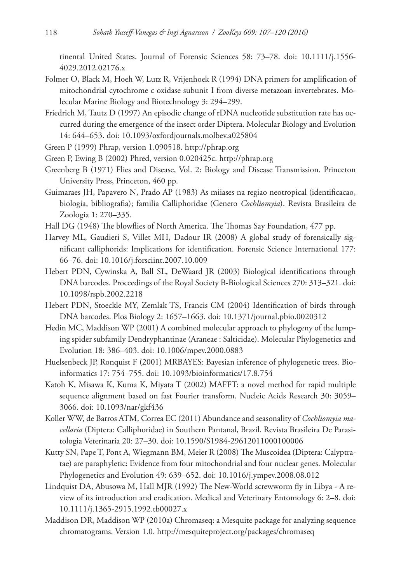tinental United States. Journal of Forensic Sciences 58: 73–78. [doi: 10.1111/j.1556-](http://dx.doi.org/10.1111/j.1556-4029.2012.02176.x) [4029.2012.02176.x](http://dx.doi.org/10.1111/j.1556-4029.2012.02176.x)

- Folmer O, Black M, Hoeh W, Lutz R, Vrijenhoek R (1994) DNA primers for amplification of mitochondrial cytochrome c oxidase subunit I from diverse metazoan invertebrates. Molecular Marine Biology and Biotechnology 3: 294–299.
- Friedrich M, Tautz D (1997) An episodic change of rDNA nucleotide substitution rate has occurred during the emergence of the insect order Diptera. Molecular Biology and Evolution 14: 644–653. [doi: 10.1093/oxfordjournals.molbev.a025804](http://dx.doi.org/10.1093/oxfordjournals.molbev.a025804)
- Green P (1999) Phrap, version 1.090518. <http://phrap.org>
- Green P, Ewing B (2002) Phred, version 0.020425c. <http://phrap.org>
- Greenberg B (1971) Flies and Disease, Vol. 2: Biology and Disease Transmission. Princeton University Press, Princeton, 460 pp.
- Guimaraes JH, Papavero N, Prado AP (1983) As miiases na regiao neotropical (identificacao, biologia, bibliografia); familia Calliphoridae (Genero *Cochliomyia*). Revista Brasileira de Zoologia 1: 270–335.
- Hall DG (1948) The blowflies of North America. The Thomas Say Foundation, 477 pp.
- Harvey ML, Gaudieri S, Villet MH, Dadour IR (2008) A global study of forensically significant calliphorids: Implications for identification. Forensic Science International 177: 66–76. [doi: 10.1016/j.forsciint.2007.10.009](http://dx.doi.org/10.1016/j.forsciint.2007.10.009)
- Hebert PDN, Cywinska A, Ball SL, DeWaard JR (2003) Biological identifications through DNA barcodes. Proceedings of the Royal Society B-Biological Sciences 270: 313–321. [doi:](http://dx.doi.org/10.1098/rspb.2002.2218) [10.1098/rspb.2002.2218](http://dx.doi.org/10.1098/rspb.2002.2218)
- Hebert PDN, Stoeckle MY, Zemlak TS, Francis CM (2004) Identification of birds through DNA barcodes. Plos Biology 2: 1657–1663. [doi: 10.1371/journal.pbio.0020312](http://dx.doi.org/10.1371/journal.pbio.0020312)
- Hedin MC, Maddison WP (2001) A combined molecular approach to phylogeny of the lumping spider subfamily Dendryphantinae (Araneae : Salticidae). Molecular Phylogenetics and Evolution 18: 386–403. [doi: 10.1006/mpev.2000.0883](http://dx.doi.org/10.1006/mpev.2000.0883)
- Huelsenbeck JP, Ronquist F (2001) MRBAYES: Bayesian inference of phylogenetic trees. Bioinformatics 17: 754–755. [doi: 10.1093/bioinformatics/17.8.754](http://dx.doi.org/10.1093/bioinformatics/17.8.754)
- Katoh K, Misawa K, Kuma K, Miyata T (2002) MAFFT: a novel method for rapid multiple sequence alignment based on fast Fourier transform. Nucleic Acids Research 30: 3059– 3066. [doi: 10.1093/nar/gkf436](http://dx.doi.org/10.1093/nar/gkf436)
- Koller WW, de Barros ATM, Correa EC (2011) Abundance and seasonality of *Cochliomyia macellaria* (Diptera: Calliphoridae) in Southern Pantanal, Brazil. Revista Brasileira De Parasitologia Veterinaria 20: 27–30. [doi: 10.1590/S1984-29612011000100006](http://dx.doi.org/10.1590/S1984-29612011000100006)
- Kutty SN, Pape T, Pont A, Wiegmann BM, Meier R (2008) The Muscoidea (Diptera: Calyptratae) are paraphyletic: Evidence from four mitochondrial and four nuclear genes. Molecular Phylogenetics and Evolution 49: 639–652. [doi: 10.1016/j.ympev.2008.08.012](http://dx.doi.org/10.1016/j.ympev.2008.08.012)
- Lindquist DA, Abusowa M, Hall MJR (1992) The New-World screwworm fly in Libya A review of its introduction and eradication. Medical and Veterinary Entomology 6: 2–8. [doi:](http://dx.doi.org/10.1111/j.1365-2915.1992.tb00027.x) [10.1111/j.1365-2915.1992.tb00027.x](http://dx.doi.org/10.1111/j.1365-2915.1992.tb00027.x)
- Maddison DR, Maddison WP (2010a) Chromaseq: a Mesquite package for analyzing sequence chromatograms. Version 1.0.<http://mesquiteproject.org/packages/chromaseq>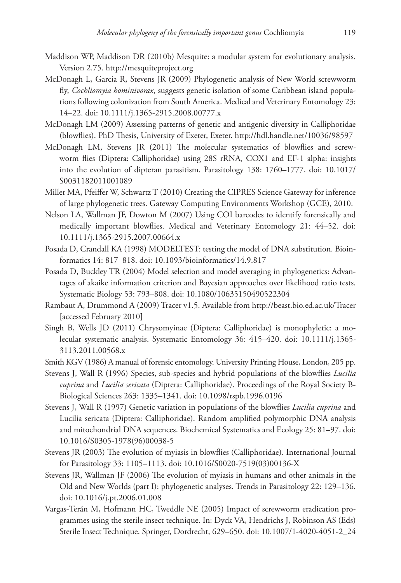- Maddison WP, Maddison DR (2010b) Mesquite: a modular system for evolutionary analysis. Version 2.75.<http://mesquiteproject.org>
- McDonagh L, Garcia R, Stevens JR (2009) Phylogenetic analysis of New World screwworm fly, *Cochliomyia hominivorax*, suggests genetic isolation of some Caribbean island populations following colonization from South America. Medical and Veterinary Entomology 23: 14–22. [doi: 10.1111/j.1365-2915.2008.00777.x](http://dx.doi.org/10.1111/j.1365-2915.2008.00777.x)
- McDonagh LM (2009) Assessing patterns of genetic and antigenic diversity in Calliphoridae (blowflies). PhD Thesis, University of Exeter, Exeter.<http://hdl.handle.net/10036/98597>
- McDonagh LM, Stevens JR (2011) The molecular systematics of blowflies and screwworm flies (Diptera: Calliphoridae) using 28S rRNA, COX1 and EF-1 alpha: insights into the evolution of dipteran parasitism. Parasitology 138: 1760–1777. [doi: 10.1017/](http://dx.doi.org/10.1017/S0031182011001089) [S0031182011001089](http://dx.doi.org/10.1017/S0031182011001089)
- Miller MA, Pfeiffer W, Schwartz T (2010) Creating the CIPRES Science Gateway for inference of large phylogenetic trees. Gateway Computing Environments Workshop (GCE), 2010.
- Nelson LA, Wallman JF, Dowton M (2007) Using COI barcodes to identify forensically and medically important blowflies. Medical and Veterinary Entomology 21: 44–52. [doi:](http://dx.doi.org/10.1111/j.1365-2915.2007.00664.x) [10.1111/j.1365-2915.2007.00664.x](http://dx.doi.org/10.1111/j.1365-2915.2007.00664.x)
- Posada D, Crandall KA (1998) MODELTEST: testing the model of DNA substitution. Bioinformatics 14: 817–818. [doi: 10.1093/bioinformatics/14.9.817](http://dx.doi.org/10.1093/bioinformatics/14.9.817)
- Posada D, Buckley TR (2004) Model selection and model averaging in phylogenetics: Advantages of akaike information criterion and Bayesian approaches over likelihood ratio tests. Systematic Biology 53: 793–808. [doi: 10.1080/10635150490522304](http://dx.doi.org/10.1080/10635150490522304)
- Rambaut A, Drummond A (2009) Tracer v1.5. Available from<http://beast.bio.ed.ac.uk/Tracer> [accessed February 2010]
- Singh B, Wells JD (2011) Chrysomyinae (Diptera: Calliphoridae) is monophyletic: a molecular systematic analysis. Systematic Entomology 36: 415–420. [doi: 10.1111/j.1365-](http://dx.doi.org/10.1111/j.1365-3113.2011.00568.x) [3113.2011.00568.x](http://dx.doi.org/10.1111/j.1365-3113.2011.00568.x)
- Smith KGV (1986) A manual of forensic entomology. University Printing House, London, 205 pp.
- Stevens J, Wall R (1996) Species, sub-species and hybrid populations of the blowflies *Lucilia cuprina* and *Lucilia sericata* (Diptera: Calliphoridae). Proceedings of the Royal Society B-Biological Sciences 263: 1335–1341. [doi: 10.1098/rspb.1996.0196](http://dx.doi.org/10.1098/rspb.1996.0196)
- Stevens J, Wall R (1997) Genetic variation in populations of the blowflies *Lucilia cuprina* and Lucilia sericata (Diptera: Calliphoridae). Random amplified polymorphic DNA analysis and mitochondrial DNA sequences. Biochemical Systematics and Ecology 25: 81–97. [doi:](http://dx.doi.org/10.1016/S0305-1978(96)00038-5) [10.1016/S0305-1978\(96\)00038-5](http://dx.doi.org/10.1016/S0305-1978(96)00038-5)
- Stevens JR (2003) The evolution of myiasis in blowflies (Calliphoridae). International Journal for Parasitology 33: 1105–1113. [doi: 10.1016/S0020-7519\(03\)00136-X](http://dx.doi.org/10.1016/S0020-7519(03)00136-X)
- Stevens JR, Wallman JF (2006) The evolution of myiasis in humans and other animals in the Old and New Worlds (part I): phylogenetic analyses. Trends in Parasitology 22: 129–136. [doi: 10.1016/j.pt.2006.01.008](http://dx.doi.org/10.1016/j.pt.2006.01.008)
- Vargas-Terán M, Hofmann HC, Tweddle NE (2005) Impact of screwworm eradication programmes using the sterile insect technique. In: Dyck VA, Hendrichs J, Robinson AS (Eds) Sterile Insect Technique. Springer, Dordrecht, 629–650. [doi: 10.1007/1-4020-4051-2\\_24](http://dx.doi.org/10.1007/1-4020-4051-2_24)